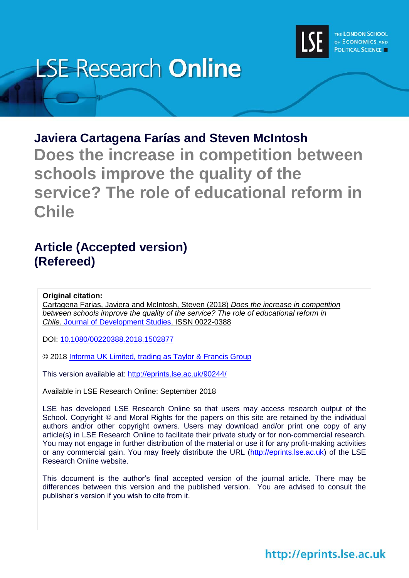

# **LSE Research Online**

# **Javiera Cartagena Farías and Steven McIntosh**

**Does the increase in competition between schools improve the quality of the service? The role of educational reform in Chile**

# **Article (Accepted version) (Refereed)**

#### **Original citation:**

Cartagena Farias, Javiera and McIntosh, Steven (2018) *Does the increase in competition between schools improve the quality of the service? The role of educational reform in Chile.* [Journal of Development Studies.](https://www.tandfonline.com/toc/fjds20/current) ISSN 0022-0388

DOI: [10.1080/00220388.2018.1502877](http://doi.org/10.1080/00220388.2018.1502877)

© 2018 [Informa UK Limited, trading as Taylor & Francis Group](http://taylorandfrancis.com/)

This version available at:<http://eprints.lse.ac.uk/90244/>

Available in LSE Research Online: September 2018

LSE has developed LSE Research Online so that users may access research output of the School. Copyright © and Moral Rights for the papers on this site are retained by the individual authors and/or other copyright owners. Users may download and/or print one copy of any article(s) in LSE Research Online to facilitate their private study or for non-commercial research. You may not engage in further distribution of the material or use it for any profit-making activities or any commercial gain. You may freely distribute the URL (http://eprints.lse.ac.uk) of the LSE Research Online website.

This document is the author's final accepted version of the journal article. There may be differences between this version and the published version. You are advised to consult the publisher's version if you wish to cite from it.

# http://eprints.lse.ac.uk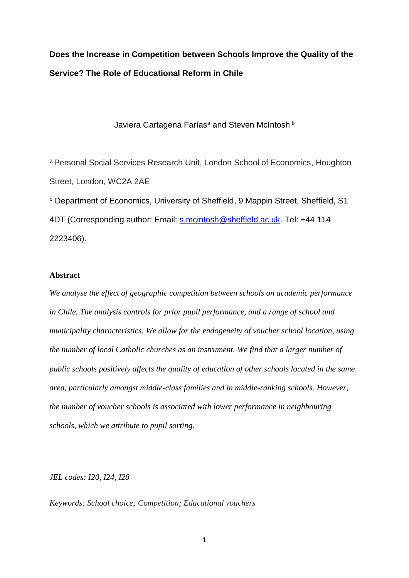# **Does the Increase in Competition between Schools Improve the Quality of the Service? The Role of Educational Reform in Chile**

Javiera Cartagena Farías<sup>a</sup> and Steven McIntosh b

a Personal Social Services Research Unit, London School of Economics, Houghton Street, London, WC2A 2AE <sup>b</sup> Department of Economics, University of Sheffield, 9 Mappin Street, Sheffield, S1 4DT (Corresponding author: Email: [s.mcintosh@sheffield.ac.uk.](mailto:s.mcintosh@sheffield.ac.uk) Tel: +44 114 2223406).

#### **Abstract**

*We analyse the effect of geographic competition between schools on academic performance in Chile. The analysis controls for prior pupil performance, and a range of school and municipality characteristics. We allow for the endogeneity of voucher school location, using the number of local Catholic churches as an instrument. We find that a larger number of public schools positively affects the quality of education of other schools located in the same area, particularly amongst middle-class families and in middle-ranking schools. However, the number of voucher schools is associated with lower performance in neighbouring schools, which we attribute to pupil sorting.* 

#### *JEL codes: I20, I24, I28*

*Keywords: School choice; Competition; Educational vouchers*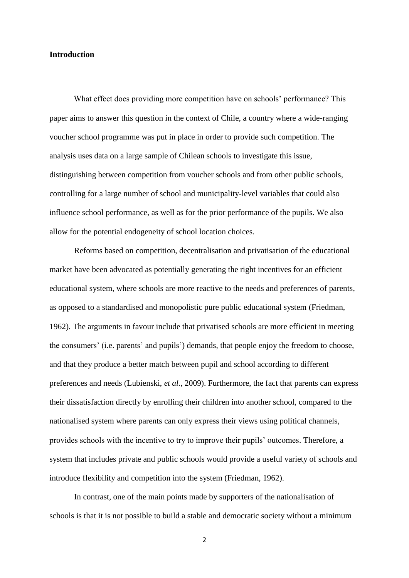#### **Introduction**

What effect does providing more competition have on schools' performance? This paper aims to answer this question in the context of Chile, a country where a wide-ranging voucher school programme was put in place in order to provide such competition. The analysis uses data on a large sample of Chilean schools to investigate this issue, distinguishing between competition from voucher schools and from other public schools, controlling for a large number of school and municipality-level variables that could also influence school performance, as well as for the prior performance of the pupils. We also allow for the potential endogeneity of school location choices.

Reforms based on competition, decentralisation and privatisation of the educational market have been advocated as potentially generating the right incentives for an efficient educational system, where schools are more reactive to the needs and preferences of parents, as opposed to a standardised and monopolistic pure public educational system (Friedman, 1962). The arguments in favour include that privatised schools are more efficient in meeting the consumers' (i.e. parents' and pupils') demands, that people enjoy the freedom to choose, and that they produce a better match between pupil and school according to different preferences and needs (Lubienski, *et al.*, 2009). Furthermore, the fact that parents can express their dissatisfaction directly by enrolling their children into another school, compared to the nationalised system where parents can only express their views using political channels, provides schools with the incentive to try to improve their pupils' outcomes. Therefore, a system that includes private and public schools would provide a useful variety of schools and introduce flexibility and competition into the system (Friedman, 1962).

In contrast, one of the main points made by supporters of the nationalisation of schools is that it is not possible to build a stable and democratic society without a minimum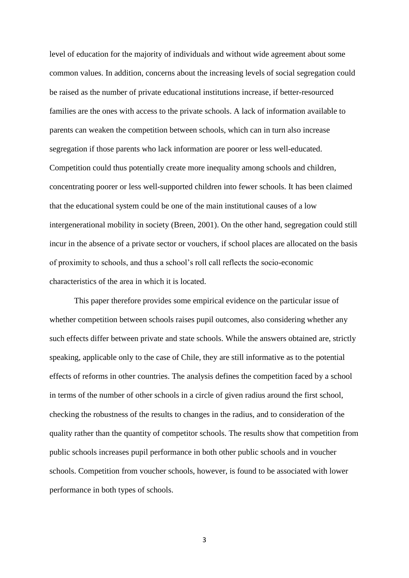level of education for the majority of individuals and without wide agreement about some common values. In addition, concerns about the increasing levels of social segregation could be raised as the number of private educational institutions increase, if better-resourced families are the ones with access to the private schools. A lack of information available to parents can weaken the competition between schools, which can in turn also increase segregation if those parents who lack information are poorer or less well-educated. Competition could thus potentially create more inequality among schools and children, concentrating poorer or less well-supported children into fewer schools. It has been claimed that the educational system could be one of the main institutional causes of a low intergenerational mobility in society (Breen, 2001). On the other hand, segregation could still incur in the absence of a private sector or vouchers, if school places are allocated on the basis of proximity to schools, and thus a school's roll call reflects the socio-economic characteristics of the area in which it is located.

This paper therefore provides some empirical evidence on the particular issue of whether competition between schools raises pupil outcomes, also considering whether any such effects differ between private and state schools. While the answers obtained are, strictly speaking, applicable only to the case of Chile, they are still informative as to the potential effects of reforms in other countries. The analysis defines the competition faced by a school in terms of the number of other schools in a circle of given radius around the first school, checking the robustness of the results to changes in the radius, and to consideration of the quality rather than the quantity of competitor schools. The results show that competition from public schools increases pupil performance in both other public schools and in voucher schools. Competition from voucher schools, however, is found to be associated with lower performance in both types of schools.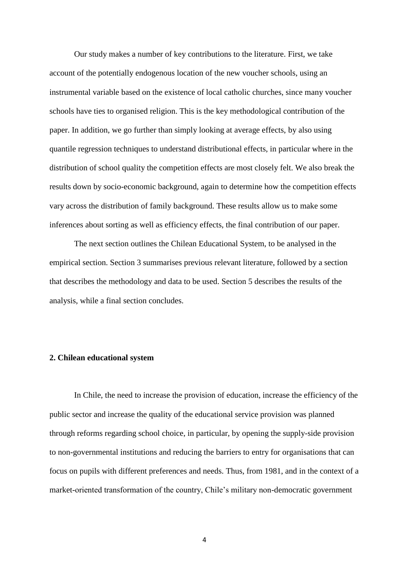Our study makes a number of key contributions to the literature. First, we take account of the potentially endogenous location of the new voucher schools, using an instrumental variable based on the existence of local catholic churches, since many voucher schools have ties to organised religion. This is the key methodological contribution of the paper. In addition, we go further than simply looking at average effects, by also using quantile regression techniques to understand distributional effects, in particular where in the distribution of school quality the competition effects are most closely felt. We also break the results down by socio-economic background, again to determine how the competition effects vary across the distribution of family background. These results allow us to make some inferences about sorting as well as efficiency effects, the final contribution of our paper.

The next section outlines the Chilean Educational System, to be analysed in the empirical section. Section 3 summarises previous relevant literature, followed by a section that describes the methodology and data to be used. Section 5 describes the results of the analysis, while a final section concludes.

#### **2. Chilean educational system**

In Chile, the need to increase the provision of education, increase the efficiency of the public sector and increase the quality of the educational service provision was planned through reforms regarding school choice, in particular, by opening the supply-side provision to non-governmental institutions and reducing the barriers to entry for organisations that can focus on pupils with different preferences and needs. Thus, from 1981, and in the context of a market-oriented transformation of the country, Chile's military non-democratic government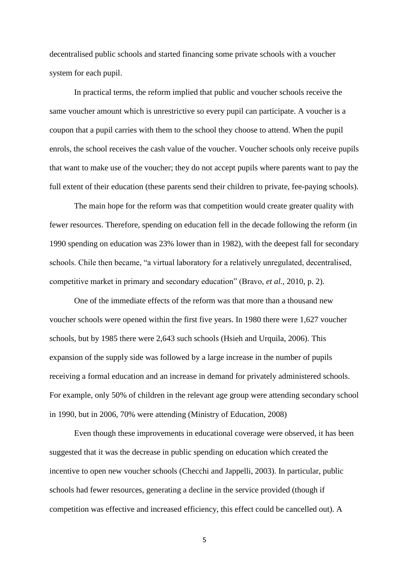decentralised public schools and started financing some private schools with a voucher system for each pupil.

In practical terms, the reform implied that public and voucher schools receive the same voucher amount which is unrestrictive so every pupil can participate. A voucher is a coupon that a pupil carries with them to the school they choose to attend. When the pupil enrols, the school receives the cash value of the voucher. Voucher schools only receive pupils that want to make use of the voucher; they do not accept pupils where parents want to pay the full extent of their education (these parents send their children to private, fee-paying schools).

The main hope for the reform was that competition would create greater quality with fewer resources. Therefore, spending on education fell in the decade following the reform (in 1990 spending on education was 23% lower than in 1982), with the deepest fall for secondary schools. Chile then became, "a virtual laboratory for a relatively unregulated, decentralised, competitive market in primary and secondary education" (Bravo, *et al.*, 2010, p. 2).

One of the immediate effects of the reform was that more than a thousand new voucher schools were opened within the first five years. In 1980 there were 1,627 voucher schools, but by 1985 there were 2,643 such schools (Hsieh and Urquila, 2006). This expansion of the supply side was followed by a large increase in the number of pupils receiving a formal education and an increase in demand for privately administered schools. For example, only 50% of children in the relevant age group were attending secondary school in 1990, but in 2006, 70% were attending (Ministry of Education, 2008)

Even though these improvements in educational coverage were observed, it has been suggested that it was the decrease in public spending on education which created the incentive to open new voucher schools (Checchi and Jappelli, 2003). In particular, public schools had fewer resources, generating a decline in the service provided (though if competition was effective and increased efficiency, this effect could be cancelled out). A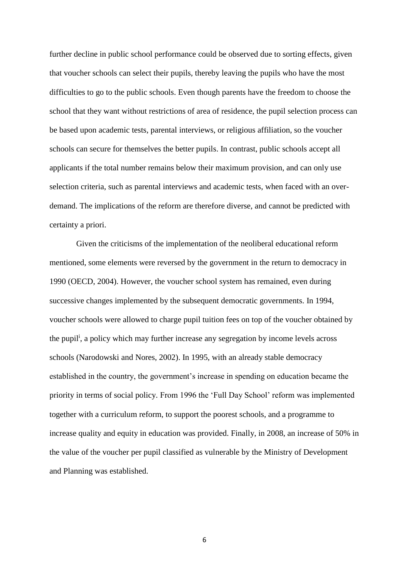further decline in public school performance could be observed due to sorting effects, given that voucher schools can select their pupils, thereby leaving the pupils who have the most difficulties to go to the public schools. Even though parents have the freedom to choose the school that they want without restrictions of area of residence, the pupil selection process can be based upon academic tests, parental interviews, or religious affiliation, so the voucher schools can secure for themselves the better pupils. In contrast, public schools accept all applicants if the total number remains below their maximum provision, and can only use selection criteria, such as parental interviews and academic tests, when faced with an overdemand. The implications of the reform are therefore diverse, and cannot be predicted with certainty a priori.

Given the criticisms of the implementation of the neoliberal educational reform mentioned, some elements were reversed by the government in the return to democracy in 1990 (OECD, 2004). However, the voucher school system has remained, even during successive changes implemented by the subsequent democratic governments. In 1994, voucher schools were allowed to charge pupil tuition fees on top of the voucher obtained by the pupil<sup>i</sup>, a policy which may further increase any segregation by income levels across schools (Narodowski and Nores, 2002). In 1995, with an already stable democracy established in the country, the government's increase in spending on education became the priority in terms of social policy. From 1996 the 'Full Day School' reform was implemented together with a curriculum reform, to support the poorest schools, and a programme to increase quality and equity in education was provided. Finally, in 2008, an increase of 50% in the value of the voucher per pupil classified as vulnerable by the Ministry of Development and Planning was established.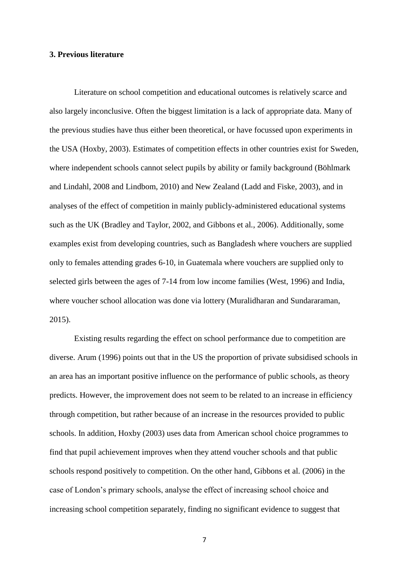#### **3. Previous literature**

Literature on school competition and educational outcomes is relatively scarce and also largely inconclusive. Often the biggest limitation is a lack of appropriate data. Many of the previous studies have thus either been theoretical, or have focussed upon experiments in the USA (Hoxby, 2003). Estimates of competition effects in other countries exist for Sweden, where independent schools cannot select pupils by ability or family background (Böhlmark and Lindahl, 2008 and Lindbom, 2010) and New Zealand (Ladd and Fiske, 2003), and in analyses of the effect of competition in mainly publicly-administered educational systems such as the UK (Bradley and Taylor, 2002, and Gibbons et al*.*, 2006). Additionally, some examples exist from developing countries, such as Bangladesh where vouchers are supplied only to females attending grades 6-10, in Guatemala where vouchers are supplied only to selected girls between the ages of 7-14 from low income families (West, 1996) and India, where voucher school allocation was done via lottery (Muralidharan and Sundararaman, 2015).

Existing results regarding the effect on school performance due to competition are diverse. Arum (1996) points out that in the US the proportion of private subsidised schools in an area has an important positive influence on the performance of public schools, as theory predicts. However, the improvement does not seem to be related to an increase in efficiency through competition, but rather because of an increase in the resources provided to public schools. In addition, Hoxby (2003) uses data from American school choice programmes to find that pupil achievement improves when they attend voucher schools and that public schools respond positively to competition. On the other hand, Gibbons et al*.* (2006) in the case of London's primary schools, analyse the effect of increasing school choice and increasing school competition separately, finding no significant evidence to suggest that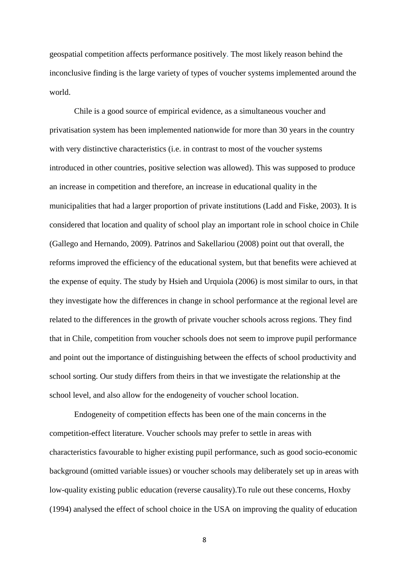geospatial competition affects performance positively. The most likely reason behind the inconclusive finding is the large variety of types of voucher systems implemented around the world.

Chile is a good source of empirical evidence, as a simultaneous voucher and privatisation system has been implemented nationwide for more than 30 years in the country with very distinctive characteristics (i.e. in contrast to most of the voucher systems introduced in other countries, positive selection was allowed). This was supposed to produce an increase in competition and therefore, an increase in educational quality in the municipalities that had a larger proportion of private institutions (Ladd and Fiske, 2003). It is considered that location and quality of school play an important role in school choice in Chile (Gallego and Hernando, 2009). Patrinos and Sakellariou (2008) point out that overall, the reforms improved the efficiency of the educational system, but that benefits were achieved at the expense of equity. The study by Hsieh and Urquiola (2006) is most similar to ours, in that they investigate how the differences in change in school performance at the regional level are related to the differences in the growth of private voucher schools across regions. They find that in Chile, competition from voucher schools does not seem to improve pupil performance and point out the importance of distinguishing between the effects of school productivity and school sorting. Our study differs from theirs in that we investigate the relationship at the school level, and also allow for the endogeneity of voucher school location.

Endogeneity of competition effects has been one of the main concerns in the competition-effect literature. Voucher schools may prefer to settle in areas with characteristics favourable to higher existing pupil performance, such as good socio-economic background (omitted variable issues) or voucher schools may deliberately set up in areas with low-quality existing public education (reverse causality).To rule out these concerns, Hoxby (1994) analysed the effect of school choice in the USA on improving the quality of education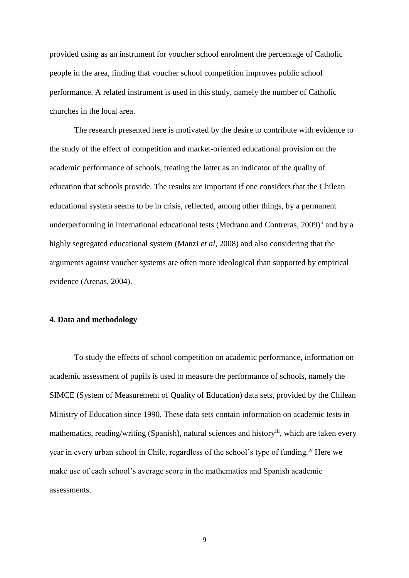provided using as an instrument for voucher school enrolment the percentage of Catholic people in the area, finding that voucher school competition improves public school performance. A related instrument is used in this study, namely the number of Catholic churches in the local area.

The research presented here is motivated by the desire to contribute with evidence to the study of the effect of competition and market-oriented educational provision on the academic performance of schools, treating the latter as an indicator of the quality of education that schools provide. The results are important if one considers that the Chilean educational system seems to be in crisis, reflected, among other things, by a permanent underperforming in international educational tests (Medrano and Contreras, 2009)<sup>ii</sup> and by a highly segregated educational system (Manzi *et al,* 2008) and also considering that the arguments against voucher systems are often more ideological than supported by empirical evidence (Arenas, 2004).

#### **4. Data and methodology**

To study the effects of school competition on academic performance, information on academic assessment of pupils is used to measure the performance of schools, namely the SIMCE (System of Measurement of Quality of Education) data sets, provided by the Chilean Ministry of Education since 1990. These data sets contain information on academic tests in mathematics, reading/writing (Spanish), natural sciences and history<sup>iii</sup>, which are taken every year in every urban school in Chile, regardless of the school's type of funding.iv Here we make use of each school's average score in the mathematics and Spanish academic assessments.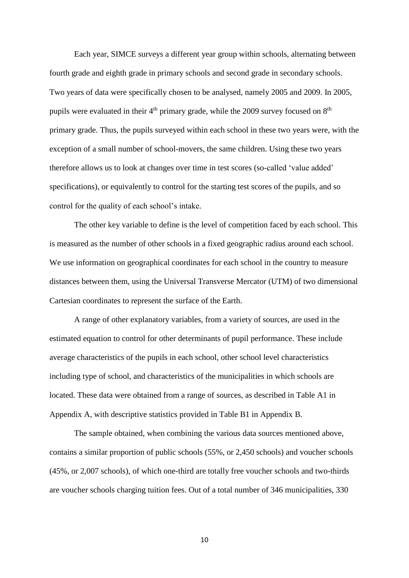Each year, SIMCE surveys a different year group within schools, alternating between fourth grade and eighth grade in primary schools and second grade in secondary schools. Two years of data were specifically chosen to be analysed, namely 2005 and 2009. In 2005, pupils were evaluated in their  $4<sup>th</sup>$  primary grade, while the 2009 survey focused on  $8<sup>th</sup>$ primary grade. Thus, the pupils surveyed within each school in these two years were, with the exception of a small number of school-movers, the same children. Using these two years therefore allows us to look at changes over time in test scores (so-called 'value added' specifications), or equivalently to control for the starting test scores of the pupils, and so control for the quality of each school's intake.

The other key variable to define is the level of competition faced by each school. This is measured as the number of other schools in a fixed geographic radius around each school. We use information on geographical coordinates for each school in the country to measure distances between them, using the Universal Transverse Mercator (UTM) of two dimensional Cartesian coordinates to represent the surface of the Earth.

A range of other explanatory variables, from a variety of sources, are used in the estimated equation to control for other determinants of pupil performance. These include average characteristics of the pupils in each school, other school level characteristics including type of school, and characteristics of the municipalities in which schools are located. These data were obtained from a range of sources, as described in Table A1 in Appendix A, with descriptive statistics provided in Table B1 in Appendix B.

The sample obtained, when combining the various data sources mentioned above, contains a similar proportion of public schools (55%, or 2,450 schools) and voucher schools (45%, or 2,007 schools), of which one-third are totally free voucher schools and two-thirds are voucher schools charging tuition fees. Out of a total number of 346 municipalities, 330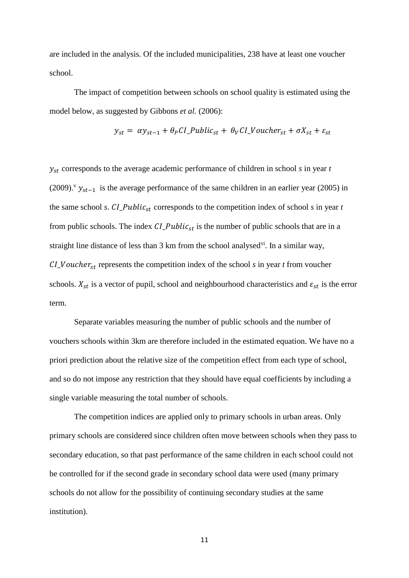are included in the analysis. Of the included municipalities, 238 have at least one voucher school.

The impact of competition between schools on school quality is estimated using the model below, as suggested by Gibbons *et al.* (2006):

$$
y_{st} = \alpha y_{st-1} + \theta_P CI\_Public_{st} + \theta_V CI\_Voucher_{st} + \sigma X_{st} + \varepsilon_{st}
$$

 $y_{st}$  corresponds to the average academic performance of children in school  $s$  in year  $t$ (2009).<sup>v</sup>  $y_{st-1}$  is the average performance of the same children in an earlier year (2005) in the same school *s*.  $CI\_Public_{st}$  corresponds to the competition index of school *s* in year *t* from public schools. The index  $CI\_Public_{st}$  is the number of public schools that are in a straight line distance of less than  $3 \text{ km}$  from the school analysed<sup>vi</sup>. In a similar way,  $CI\_Vouter_{st}$  represents the competition index of the school  $s$  in year  $t$  from voucher schools.  $X_{st}$  is a vector of pupil, school and neighbourhood characteristics and  $\varepsilon_{st}$  is the error term.

Separate variables measuring the number of public schools and the number of vouchers schools within 3km are therefore included in the estimated equation. We have no a priori prediction about the relative size of the competition effect from each type of school, and so do not impose any restriction that they should have equal coefficients by including a single variable measuring the total number of schools.

The competition indices are applied only to primary schools in urban areas. Only primary schools are considered since children often move between schools when they pass to secondary education, so that past performance of the same children in each school could not be controlled for if the second grade in secondary school data were used (many primary schools do not allow for the possibility of continuing secondary studies at the same institution).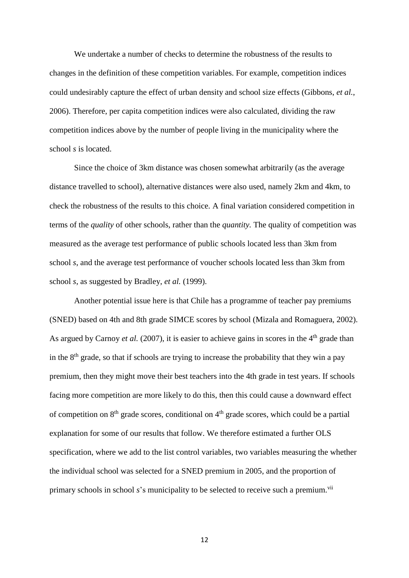We undertake a number of checks to determine the robustness of the results to changes in the definition of these competition variables. For example, competition indices could undesirably capture the effect of urban density and school size effects (Gibbons, *et al.*, 2006). Therefore, per capita competition indices were also calculated, dividing the raw competition indices above by the number of people living in the municipality where the school *s* is located.

Since the choice of 3km distance was chosen somewhat arbitrarily (as the average distance travelled to school), alternative distances were also used, namely 2km and 4km, to check the robustness of the results to this choice. A final variation considered competition in terms of the *quality* of other schools, rather than the *quantity.* The quality of competition was measured as the average test performance of public schools located less than 3km from school *s*, and the average test performance of voucher schools located less than 3km from school *s*, as suggested by Bradley, *et al.* (1999).

Another potential issue here is that Chile has a programme of teacher pay premiums (SNED) based on 4th and 8th grade SIMCE scores by school (Mizala and Romaguera, 2002). As argued by Carnoy *et al.* (2007), it is easier to achieve gains in scores in the 4<sup>th</sup> grade than in the  $8<sup>th</sup>$  grade, so that if schools are trying to increase the probability that they win a pay premium, then they might move their best teachers into the 4th grade in test years. If schools facing more competition are more likely to do this, then this could cause a downward effect of competition on  $8<sup>th</sup>$  grade scores, conditional on  $4<sup>th</sup>$  grade scores, which could be a partial explanation for some of our results that follow. We therefore estimated a further OLS specification, where we add to the list control variables, two variables measuring the whether the individual school was selected for a SNED premium in 2005, and the proportion of primary schools in school *s*'s municipality to be selected to receive such a premium.<sup>vii</sup>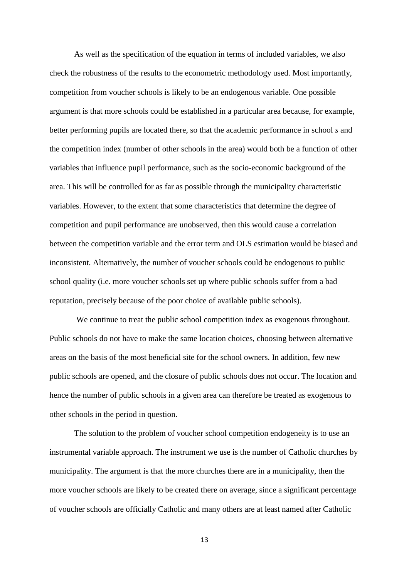As well as the specification of the equation in terms of included variables, we also check the robustness of the results to the econometric methodology used. Most importantly, competition from voucher schools is likely to be an endogenous variable. One possible argument is that more schools could be established in a particular area because, for example, better performing pupils are located there, so that the academic performance in school *s* and the competition index (number of other schools in the area) would both be a function of other variables that influence pupil performance, such as the socio-economic background of the area. This will be controlled for as far as possible through the municipality characteristic variables. However, to the extent that some characteristics that determine the degree of competition and pupil performance are unobserved, then this would cause a correlation between the competition variable and the error term and OLS estimation would be biased and inconsistent. Alternatively, the number of voucher schools could be endogenous to public school quality (i.e. more voucher schools set up where public schools suffer from a bad reputation, precisely because of the poor choice of available public schools).

We continue to treat the public school competition index as exogenous throughout. Public schools do not have to make the same location choices, choosing between alternative areas on the basis of the most beneficial site for the school owners. In addition, few new public schools are opened, and the closure of public schools does not occur. The location and hence the number of public schools in a given area can therefore be treated as exogenous to other schools in the period in question.

The solution to the problem of voucher school competition endogeneity is to use an instrumental variable approach. The instrument we use is the number of Catholic churches by municipality. The argument is that the more churches there are in a municipality, then the more voucher schools are likely to be created there on average, since a significant percentage of voucher schools are officially Catholic and many others are at least named after Catholic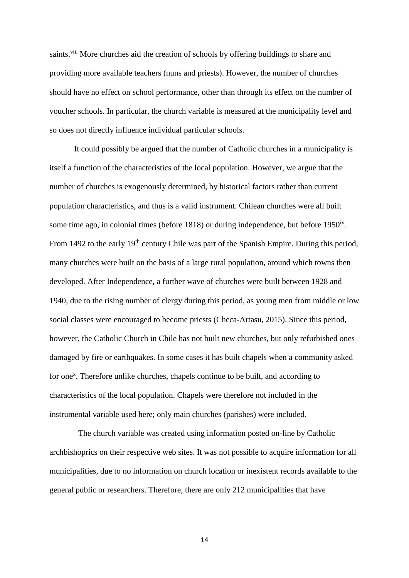saints.<sup>viii</sup> More churches aid the creation of schools by offering buildings to share and providing more available teachers (nuns and priests). However, the number of churches should have no effect on school performance, other than through its effect on the number of voucher schools. In particular, the church variable is measured at the municipality level and so does not directly influence individual particular schools.

It could possibly be argued that the number of Catholic churches in a municipality is itself a function of the characteristics of the local population. However, we argue that the number of churches is exogenously determined, by historical factors rather than current population characteristics, and thus is a valid instrument. Chilean churches were all built some time ago, in colonial times (before  $1818$ ) or during independence, but before  $1950<sup>ix</sup>$ . From 1492 to the early  $19<sup>th</sup>$  century Chile was part of the Spanish Empire. During this period, many churches were built on the basis of a large rural population, around which towns then developed. After Independence, a further wave of churches were built between 1928 and 1940, due to the rising number of clergy during this period, as young men from middle or low social classes were encouraged to become priests (Checa-Artasu, 2015). Since this period, however, the Catholic Church in Chile has not built new churches, but only refurbished ones damaged by fire or earthquakes. In some cases it has built chapels when a community asked for one<sup>x</sup>. Therefore unlike churches, chapels continue to be built, and according to characteristics of the local population. Chapels were therefore not included in the instrumental variable used here; only main churches (parishes) were included.

The church variable was created using information posted on-line by Catholic archbishoprics on their respective web sites. It was not possible to acquire information for all municipalities, due to no information on church location or inexistent records available to the general public or researchers. Therefore, there are only 212 municipalities that have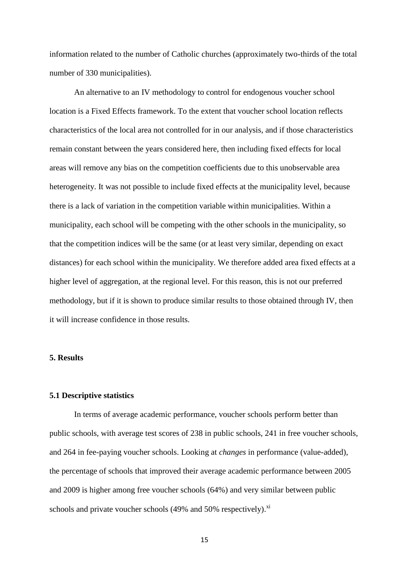information related to the number of Catholic churches (approximately two-thirds of the total number of 330 municipalities).

An alternative to an IV methodology to control for endogenous voucher school location is a Fixed Effects framework. To the extent that voucher school location reflects characteristics of the local area not controlled for in our analysis, and if those characteristics remain constant between the years considered here, then including fixed effects for local areas will remove any bias on the competition coefficients due to this unobservable area heterogeneity. It was not possible to include fixed effects at the municipality level, because there is a lack of variation in the competition variable within municipalities. Within a municipality, each school will be competing with the other schools in the municipality, so that the competition indices will be the same (or at least very similar, depending on exact distances) for each school within the municipality. We therefore added area fixed effects at a higher level of aggregation, at the regional level. For this reason, this is not our preferred methodology, but if it is shown to produce similar results to those obtained through IV, then it will increase confidence in those results.

#### **5. Results**

#### **5.1 Descriptive statistics**

In terms of average academic performance, voucher schools perform better than public schools, with average test scores of 238 in public schools, 241 in free voucher schools, and 264 in fee-paying voucher schools. Looking at *changes* in performance (value-added), the percentage of schools that improved their average academic performance between 2005 and 2009 is higher among free voucher schools (64%) and very similar between public schools and private voucher schools  $(49\%$  and 50% respectively).<sup>xi</sup>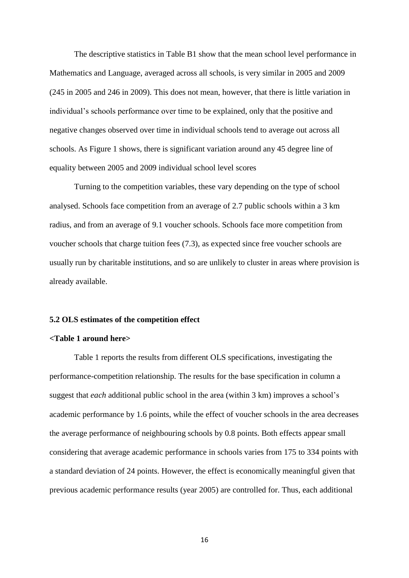The descriptive statistics in Table B1 show that the mean school level performance in Mathematics and Language, averaged across all schools, is very similar in 2005 and 2009 (245 in 2005 and 246 in 2009). This does not mean, however, that there is little variation in individual's schools performance over time to be explained, only that the positive and negative changes observed over time in individual schools tend to average out across all schools. As Figure 1 shows, there is significant variation around any 45 degree line of equality between 2005 and 2009 individual school level scores

Turning to the competition variables, these vary depending on the type of school analysed. Schools face competition from an average of 2.7 public schools within a 3 km radius, and from an average of 9.1 voucher schools. Schools face more competition from voucher schools that charge tuition fees (7.3), as expected since free voucher schools are usually run by charitable institutions, and so are unlikely to cluster in areas where provision is already available.

#### **5.2 OLS estimates of the competition effect**

#### **<Table 1 around here>**

Table 1 reports the results from different OLS specifications, investigating the performance-competition relationship. The results for the base specification in column a suggest that *each* additional public school in the area (within 3 km) improves a school's academic performance by 1.6 points, while the effect of voucher schools in the area decreases the average performance of neighbouring schools by 0.8 points. Both effects appear small considering that average academic performance in schools varies from 175 to 334 points with a standard deviation of 24 points. However, the effect is economically meaningful given that previous academic performance results (year 2005) are controlled for. Thus, each additional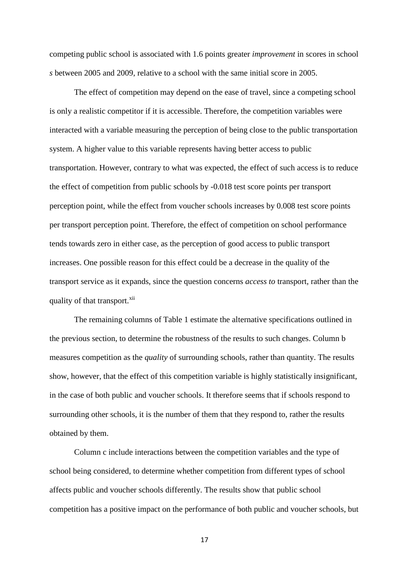competing public school is associated with 1.6 points greater *improvement* in scores in school *s* between 2005 and 2009, relative to a school with the same initial score in 2005.

The effect of competition may depend on the ease of travel, since a competing school is only a realistic competitor if it is accessible. Therefore, the competition variables were interacted with a variable measuring the perception of being close to the public transportation system. A higher value to this variable represents having better access to public transportation. However, contrary to what was expected, the effect of such access is to reduce the effect of competition from public schools by -0.018 test score points per transport perception point, while the effect from voucher schools increases by 0.008 test score points per transport perception point. Therefore, the effect of competition on school performance tends towards zero in either case, as the perception of good access to public transport increases. One possible reason for this effect could be a decrease in the quality of the transport service as it expands, since the question concerns *access to* transport, rather than the quality of that transport.<sup>xii</sup>

The remaining columns of Table 1 estimate the alternative specifications outlined in the previous section, to determine the robustness of the results to such changes. Column b measures competition as the *quality* of surrounding schools, rather than quantity. The results show, however, that the effect of this competition variable is highly statistically insignificant, in the case of both public and voucher schools. It therefore seems that if schools respond to surrounding other schools, it is the number of them that they respond to, rather the results obtained by them.

Column c include interactions between the competition variables and the type of school being considered, to determine whether competition from different types of school affects public and voucher schools differently. The results show that public school competition has a positive impact on the performance of both public and voucher schools, but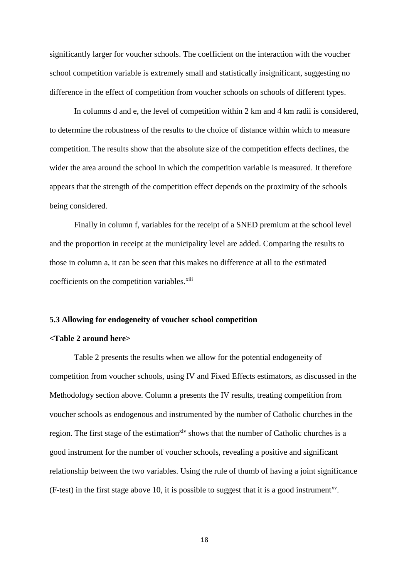significantly larger for voucher schools. The coefficient on the interaction with the voucher school competition variable is extremely small and statistically insignificant, suggesting no difference in the effect of competition from voucher schools on schools of different types.

In columns d and e, the level of competition within 2 km and 4 km radii is considered, to determine the robustness of the results to the choice of distance within which to measure competition. The results show that the absolute size of the competition effects declines, the wider the area around the school in which the competition variable is measured. It therefore appears that the strength of the competition effect depends on the proximity of the schools being considered.

Finally in column f, variables for the receipt of a SNED premium at the school level and the proportion in receipt at the municipality level are added. Comparing the results to those in column a, it can be seen that this makes no difference at all to the estimated coefficients on the competition variables.<sup>xiii</sup>

#### **5.3 Allowing for endogeneity of voucher school competition**

#### **<Table 2 around here>**

Table 2 presents the results when we allow for the potential endogeneity of competition from voucher schools, using IV and Fixed Effects estimators, as discussed in the Methodology section above. Column a presents the IV results, treating competition from voucher schools as endogenous and instrumented by the number of Catholic churches in the region. The first stage of the estimation<sup>xiv</sup> shows that the number of Catholic churches is a good instrument for the number of voucher schools, revealing a positive and significant relationship between the two variables. Using the rule of thumb of having a joint significance (F-test) in the first stage above 10, it is possible to suggest that it is a good instrument<sup>xy</sup>.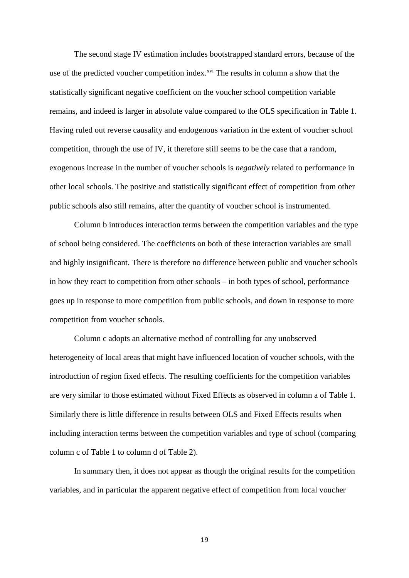The second stage IV estimation includes bootstrapped standard errors, because of the use of the predicted voucher competition index.<sup>xvi</sup> The results in column a show that the statistically significant negative coefficient on the voucher school competition variable remains, and indeed is larger in absolute value compared to the OLS specification in Table 1. Having ruled out reverse causality and endogenous variation in the extent of voucher school competition, through the use of IV, it therefore still seems to be the case that a random, exogenous increase in the number of voucher schools is *negatively* related to performance in other local schools. The positive and statistically significant effect of competition from other public schools also still remains, after the quantity of voucher school is instrumented.

Column b introduces interaction terms between the competition variables and the type of school being considered. The coefficients on both of these interaction variables are small and highly insignificant. There is therefore no difference between public and voucher schools in how they react to competition from other schools – in both types of school, performance goes up in response to more competition from public schools, and down in response to more competition from voucher schools.

Column c adopts an alternative method of controlling for any unobserved heterogeneity of local areas that might have influenced location of voucher schools, with the introduction of region fixed effects. The resulting coefficients for the competition variables are very similar to those estimated without Fixed Effects as observed in column a of Table 1. Similarly there is little difference in results between OLS and Fixed Effects results when including interaction terms between the competition variables and type of school (comparing column c of Table 1 to column d of Table 2).

In summary then, it does not appear as though the original results for the competition variables, and in particular the apparent negative effect of competition from local voucher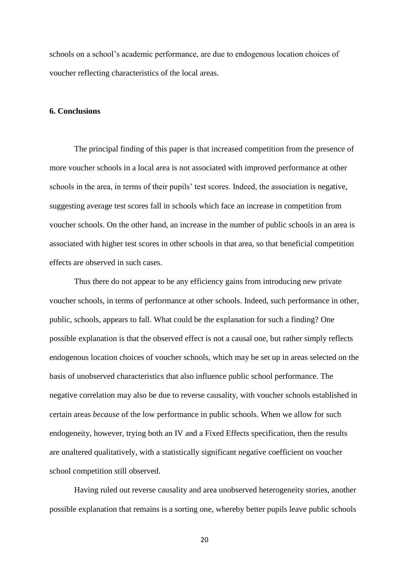schools on a school's academic performance, are due to endogenous location choices of voucher reflecting characteristics of the local areas.

#### **6. Conclusions**

The principal finding of this paper is that increased competition from the presence of more voucher schools in a local area is not associated with improved performance at other schools in the area, in terms of their pupils' test scores. Indeed, the association is negative, suggesting average test scores fall in schools which face an increase in competition from voucher schools. On the other hand, an increase in the number of public schools in an area is associated with higher test scores in other schools in that area, so that beneficial competition effects are observed in such cases.

Thus there do not appear to be any efficiency gains from introducing new private voucher schools, in terms of performance at other schools. Indeed, such performance in other, public, schools, appears to fall. What could be the explanation for such a finding? One possible explanation is that the observed effect is not a causal one, but rather simply reflects endogenous location choices of voucher schools, which may be set up in areas selected on the basis of unobserved characteristics that also influence public school performance. The negative correlation may also be due to reverse causality, with voucher schools established in certain areas *because* of the low performance in public schools. When we allow for such endogeneity, however, trying both an IV and a Fixed Effects specification, then the results are unaltered qualitatively, with a statistically significant negative coefficient on voucher school competition still observed.

Having ruled out reverse causality and area unobserved heterogeneity stories, another possible explanation that remains is a sorting one, whereby better pupils leave public schools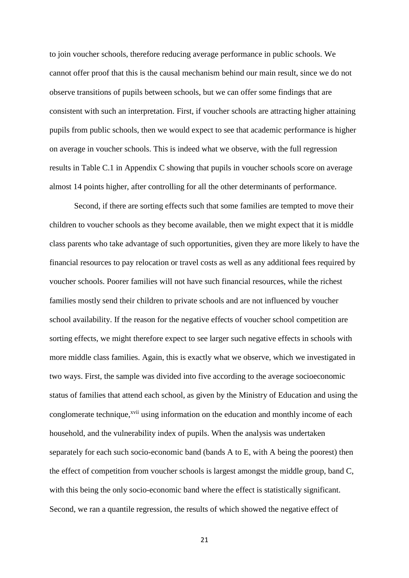to join voucher schools, therefore reducing average performance in public schools. We cannot offer proof that this is the causal mechanism behind our main result, since we do not observe transitions of pupils between schools, but we can offer some findings that are consistent with such an interpretation. First, if voucher schools are attracting higher attaining pupils from public schools, then we would expect to see that academic performance is higher on average in voucher schools. This is indeed what we observe, with the full regression results in Table C.1 in Appendix C showing that pupils in voucher schools score on average almost 14 points higher, after controlling for all the other determinants of performance.

Second, if there are sorting effects such that some families are tempted to move their children to voucher schools as they become available, then we might expect that it is middle class parents who take advantage of such opportunities, given they are more likely to have the financial resources to pay relocation or travel costs as well as any additional fees required by voucher schools. Poorer families will not have such financial resources, while the richest families mostly send their children to private schools and are not influenced by voucher school availability. If the reason for the negative effects of voucher school competition are sorting effects, we might therefore expect to see larger such negative effects in schools with more middle class families. Again, this is exactly what we observe, which we investigated in two ways. First, the sample was divided into five according to the average socioeconomic status of families that attend each school, as given by the Ministry of Education and using the conglomerate technique,<sup>xvii</sup> using information on the education and monthly income of each household, and the vulnerability index of pupils. When the analysis was undertaken separately for each such socio-economic band (bands A to E, with A being the poorest) then the effect of competition from voucher schools is largest amongst the middle group, band C, with this being the only socio-economic band where the effect is statistically significant. Second, we ran a quantile regression, the results of which showed the negative effect of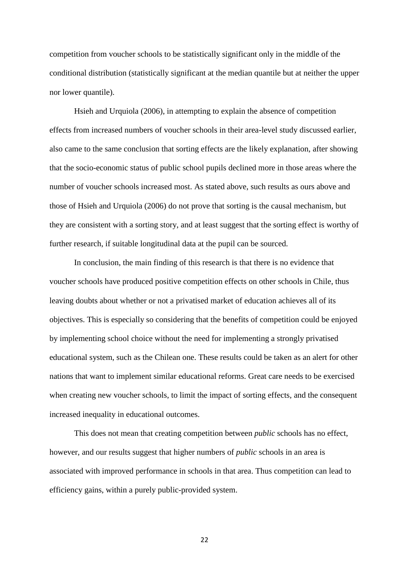competition from voucher schools to be statistically significant only in the middle of the conditional distribution (statistically significant at the median quantile but at neither the upper nor lower quantile).

Hsieh and Urquiola (2006), in attempting to explain the absence of competition effects from increased numbers of voucher schools in their area-level study discussed earlier, also came to the same conclusion that sorting effects are the likely explanation, after showing that the socio-economic status of public school pupils declined more in those areas where the number of voucher schools increased most. As stated above, such results as ours above and those of Hsieh and Urquiola (2006) do not prove that sorting is the causal mechanism, but they are consistent with a sorting story, and at least suggest that the sorting effect is worthy of further research, if suitable longitudinal data at the pupil can be sourced.

In conclusion, the main finding of this research is that there is no evidence that voucher schools have produced positive competition effects on other schools in Chile, thus leaving doubts about whether or not a privatised market of education achieves all of its objectives. This is especially so considering that the benefits of competition could be enjoyed by implementing school choice without the need for implementing a strongly privatised educational system, such as the Chilean one. These results could be taken as an alert for other nations that want to implement similar educational reforms. Great care needs to be exercised when creating new voucher schools, to limit the impact of sorting effects, and the consequent increased inequality in educational outcomes.

This does not mean that creating competition between *public* schools has no effect, however, and our results suggest that higher numbers of *public* schools in an area is associated with improved performance in schools in that area. Thus competition can lead to efficiency gains, within a purely public-provided system.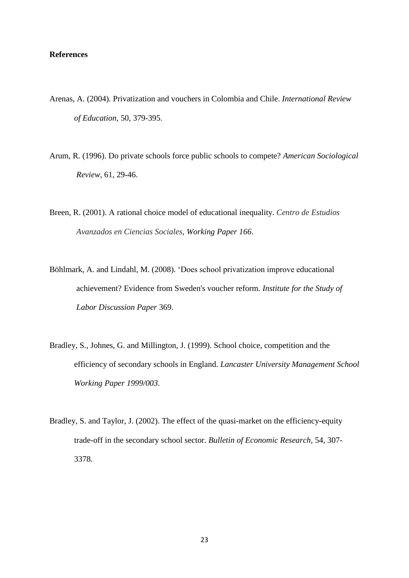#### **References**

- Arenas, A. (2004). Privatization and vouchers in Colombia and Chile. *International Review of Education,* 50, 379-395.
- Arum, R. (1996). Do private schools force public schools to compete? *American Sociological Review,* 61, 29-46.
- Breen, R. (2001). A rational choice model of educational inequality. *Centro de Estudios Avanzados en Ciencias Sociales, Working Paper 166*.
- Böhlmark, A. and Lindahl, M. (2008). 'Does school privatization improve educational achievement? Evidence from Sweden's voucher reform. *Institute for the Study of Labor Discussion Paper* 369.
- Bradley, S., Johnes, G. and Millington, J. (1999). School choice, competition and the efficiency of secondary schools in England. *Lancaster University Management School Working Paper 1999/003.*
- Bradley, S. and Taylor, J. (2002). The effect of the quasi-market on the efficiency-equity trade-off in the secondary school sector. *Bulletin of Economic Research,* 54, 307- 3378.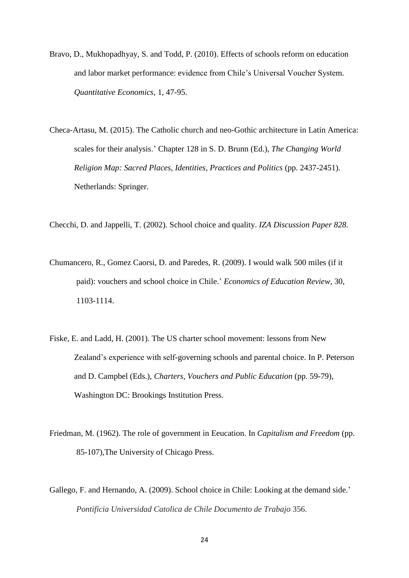- Bravo, D., Mukhopadhyay, S. and Todd, P. (2010). Effects of schools reform on education and labor market performance: evidence from Chile's Universal Voucher System. *Quantitative Economics*, 1, 47-95.
- Checa-Artasu, M. (2015). The Catholic church and neo-Gothic architecture in Latin America: scales for their analysis.' Chapter 128 in S. D. Brunn (Ed.), *The Changing World Religion Map: Sacred Places, Identities, Practices and Politics* (pp. 2437-2451). Netherlands: Springer.

Checchi, D. and Jappelli, T. (2002). School choice and quality. *IZA Discussion Paper 828.*

- Chumancero, R., Gomez Caorsi, D. and Paredes, R. (2009). I would walk 500 miles (if it paid): vouchers and school choice in Chile.' *Economics of Education Review*, 30, 1103-1114.
- Fiske, E. and Ladd, H. (2001). The US charter school movement: lessons from New Zealand's experience with self-governing schools and parental choice. In P. Peterson and D. Campbel (Eds.), *Charters, Vouchers and Public Education* (pp. 59-79), Washington DC: Brookings Institution Press.
- Friedman, M. (1962). The role of government in Eeucation. In *Capitalism and Freedom* (pp. 85-107),The University of Chicago Press.
- Gallego, F. and Hernando, A. (2009). School choice in Chile: Looking at the demand side.' *Pontificia Universidad Catolica de Chile Documento de Trabajo* 356.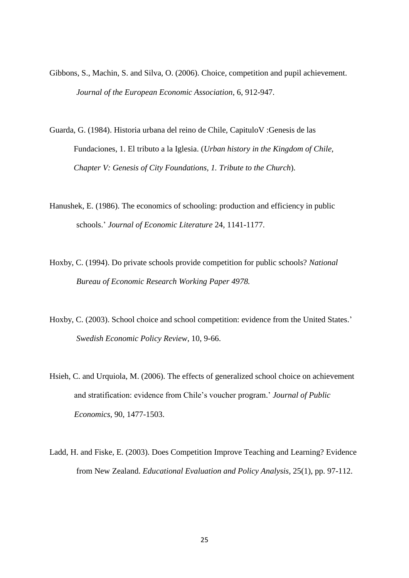- Gibbons, S., Machin, S. and Silva, O. (2006). Choice, competition and pupil achievement. *Journal of the European Economic Association*, 6, 912-947.
- Guarda, G. (1984). Historia urbana del reino de Chile, CapituloV :Genesis de las Fundaciones, 1. El tributo a la Iglesia. (*Urban history in the Kingdom of Chile, Chapter V: Genesis of City Foundations, 1. Tribute to the Church*).
- Hanushek, E. (1986). The economics of schooling: production and efficiency in public schools.' *Journal of Economic Literature* 24, 1141-1177.
- Hoxby, C. (1994). Do private schools provide competition for public schools? *National Bureau of Economic Research Working Paper 4978.*
- Hoxby, C. (2003). School choice and school competition: evidence from the United States.' *Swedish Economic Policy Review,* 10, 9-66.
- Hsieh, C. and Urquiola, M. (2006). The effects of generalized school choice on achievement and stratification: evidence from Chile's voucher program.' *Journal of Public Economics,* 90, 1477-1503.
- Ladd, H. and Fiske, E. (2003). Does Competition Improve Teaching and Learning? Evidence from New Zealand. *Educational Evaluation and Policy Analysis,* 25(1), pp. 97-112.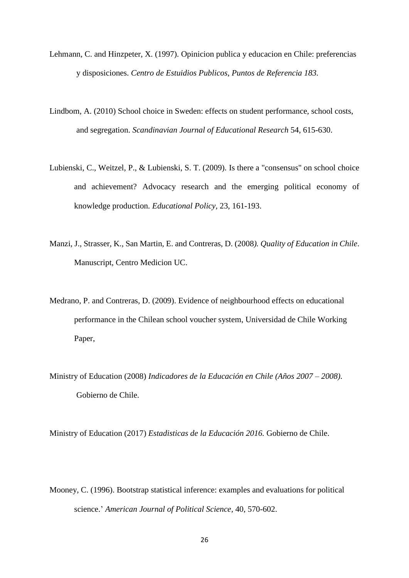- Lehmann, C. and Hinzpeter, X. (1997). Opinicion publica y educacion en Chile: preferencias y disposiciones. *Centro de Estuidios Publicos*, *Puntos de Referencia 183.*
- Lindbom, A. (2010) School choice in Sweden: effects on student performance, school costs, and segregation. *Scandinavian Journal of Educational Research* 54, 615-630.
- Lubienski, C., Weitzel, P., & Lubienski, S. T. (2009)*.* Is there a "consensus" on school choice and achievement? Advocacy research and the emerging political economy of knowledge production*. Educational Policy,* 23, 161-193.
- Manzi, J., Strasser, K., San Martin, E. and Contreras, D. (2008*). Quality of Education in Chile*. Manuscript, Centro Medicion UC.
- Medrano, P. and Contreras, D. (2009). Evidence of neighbourhood effects on educational performance in the Chilean school voucher system, Universidad de Chile Working Paper,
- Ministry of Education (2008) *Indicadores de la Educación en Chile (Años 2007 – 2008)*. Gobierno de Chile.

Ministry of Education (2017) *Estadisticas de la Educación 2016.* Gobierno de Chile.

Mooney, C. (1996). Bootstrap statistical inference: examples and evaluations for political science.' *American Journal of Political Science,* 40, 570-602.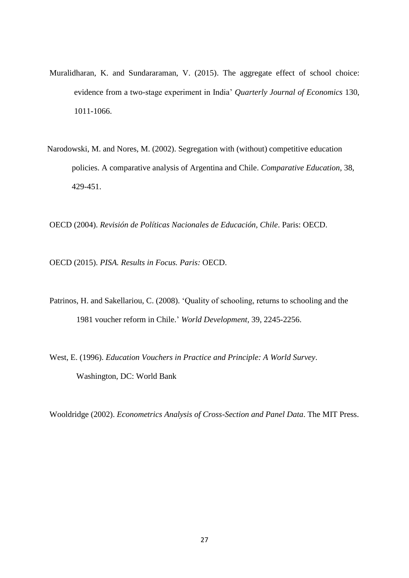- Muralidharan, K. and Sundararaman, V. (2015). The aggregate effect of school choice: evidence from a two-stage experiment in India' *Quarterly Journal of Economics* 130, 1011-1066.
- Narodowski, M. and Nores, M. (2002). Segregation with (without) competitive education policies. A comparative analysis of Argentina and Chile. *Comparative Education*, 38, 429-451.

OECD (2004). *Revisión de Políticas Nacionales de Educación, Chile*. Paris: OECD.

OECD (2015). *PISA. Results in Focus. Paris:* OECD.

- Patrinos, H. and Sakellariou, C. (2008). 'Quality of schooling, returns to schooling and the 1981 voucher reform in Chile.' *World Development,* 39, 2245-2256.
- West, E. (1996). *Education Vouchers in Practice and Principle: A World Survey*. Washington, DC: World Bank

Wooldridge (2002). *Econometrics Analysis of Cross-Section and Panel Data*. The MIT Press.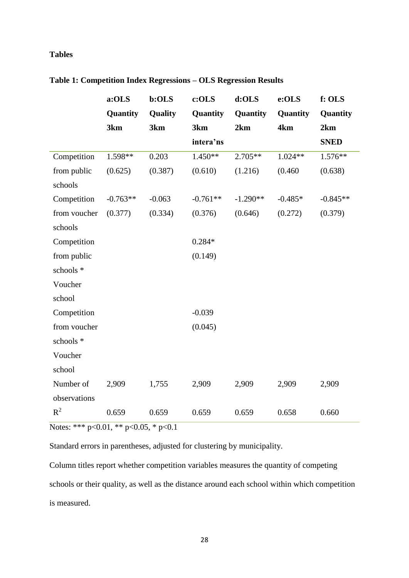### **Tables**

|              | a:OLS      | b:OLS    | c:OLS      | d:OLS      | e:OLS           | f: OLS      |
|--------------|------------|----------|------------|------------|-----------------|-------------|
|              | Quantity   | Quality  | Quantity   | Quantity   | Quantity        | Quantity    |
|              | 3km        | 3km      | 3km        | 2km        | 4 <sub>km</sub> | 2km         |
|              |            |          | intera'ns  |            |                 | <b>SNED</b> |
| Competition  | 1.598**    | 0.203    | $1.450**$  | 2.705**    | $1.024**$       | $1.576**$   |
| from public  | (0.625)    | (0.387)  | (0.610)    | (1.216)    | (0.460)         | (0.638)     |
| schools      |            |          |            |            |                 |             |
| Competition  | $-0.763**$ | $-0.063$ | $-0.761**$ | $-1.290**$ | $-0.485*$       | $-0.845**$  |
| from voucher | (0.377)    | (0.334)  | (0.376)    | (0.646)    | (0.272)         | (0.379)     |
| schools      |            |          |            |            |                 |             |
| Competition  |            |          | $0.284*$   |            |                 |             |
| from public  |            |          | (0.149)    |            |                 |             |
| schools *    |            |          |            |            |                 |             |
| Voucher      |            |          |            |            |                 |             |
| school       |            |          |            |            |                 |             |
| Competition  |            |          | $-0.039$   |            |                 |             |
| from voucher |            |          | (0.045)    |            |                 |             |
| schools *    |            |          |            |            |                 |             |
| Voucher      |            |          |            |            |                 |             |
| school       |            |          |            |            |                 |             |
| Number of    | 2,909      | 1,755    | 2,909      | 2,909      | 2,909           | 2,909       |
| observations |            |          |            |            |                 |             |
| $R^2$        | 0.659      | 0.659    | 0.659      | 0.659      | 0.658           | 0.660       |

## **Table 1: Competition Index Regressions – OLS Regression Results**

Notes: \*\*\* p<0.01, \*\* p<0.05, \* p<0.1

Standard errors in parentheses, adjusted for clustering by municipality.

Column titles report whether competition variables measures the quantity of competing schools or their quality, as well as the distance around each school within which competition is measured.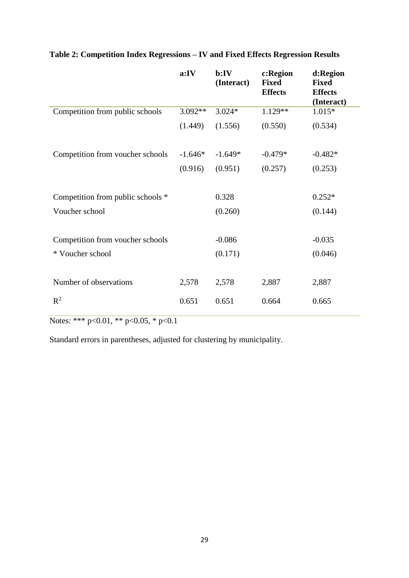|                                   | a:IV      | $\mathbf{b}:\mathbf{IV}$<br>(Interact) | c:Region<br><b>Fixed</b><br><b>Effects</b> | d:Region<br><b>Fixed</b><br><b>Effects</b><br>(Interact) |
|-----------------------------------|-----------|----------------------------------------|--------------------------------------------|----------------------------------------------------------|
| Competition from public schools   | 3.092**   | $3.024*$                               | 1.129**                                    | $1.015*$                                                 |
|                                   | (1.449)   | (1.556)                                | (0.550)                                    | (0.534)                                                  |
| Competition from voucher schools  | $-1.646*$ | $-1.649*$                              | $-0.479*$                                  | $-0.482*$                                                |
|                                   | (0.916)   | (0.951)                                | (0.257)                                    | (0.253)                                                  |
| Competition from public schools * |           | 0.328                                  |                                            | $0.252*$                                                 |
| Voucher school                    |           | (0.260)                                |                                            | (0.144)                                                  |
| Competition from voucher schools  |           | $-0.086$                               |                                            | $-0.035$                                                 |
| * Voucher school                  |           | (0.171)                                |                                            | (0.046)                                                  |
| Number of observations            | 2,578     | 2,578                                  | 2,887                                      | 2,887                                                    |
| $R^2$                             | 0.651     | 0.651                                  | 0.664                                      | 0.665                                                    |

# **Table 2: Competition Index Regressions – IV and Fixed Effects Regression Results**

Notes: \*\*\* p<0.01, \*\* p<0.05, \* p<0.1

Standard errors in parentheses, adjusted for clustering by municipality.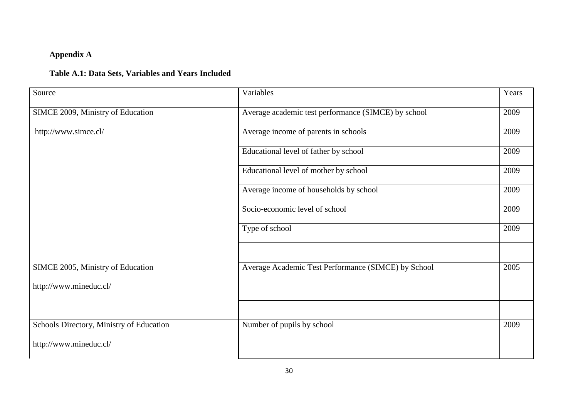# **Appendix A**

# **Table A.1: Data Sets, Variables and Years Included**

| Source                                   | Variables                                           | Years |
|------------------------------------------|-----------------------------------------------------|-------|
| SIMCE 2009, Ministry of Education        | Average academic test performance (SIMCE) by school | 2009  |
| http://www.simce.cl/                     | Average income of parents in schools                | 2009  |
|                                          | Educational level of father by school               | 2009  |
|                                          | Educational level of mother by school               | 2009  |
|                                          | Average income of households by school              | 2009  |
|                                          | Socio-economic level of school                      | 2009  |
|                                          | Type of school                                      | 2009  |
|                                          |                                                     |       |
| SIMCE 2005, Ministry of Education        | Average Academic Test Performance (SIMCE) by School | 2005  |
| http://www.mineduc.cl/                   |                                                     |       |
|                                          |                                                     |       |
| Schools Directory, Ministry of Education | Number of pupils by school                          | 2009  |
| http://www.mineduc.cl/                   |                                                     |       |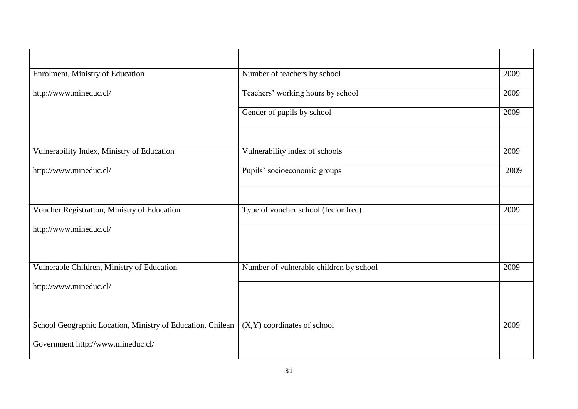| Enrolment, Ministry of Education                           | Number of teachers by school            | 2009 |
|------------------------------------------------------------|-----------------------------------------|------|
| http://www.mineduc.cl/                                     | Teachers' working hours by school       | 2009 |
|                                                            | Gender of pupils by school              | 2009 |
|                                                            |                                         |      |
| Vulnerability Index, Ministry of Education                 | Vulnerability index of schools          | 2009 |
| http://www.mineduc.cl/                                     | Pupils' socioeconomic groups            | 2009 |
|                                                            |                                         |      |
| Voucher Registration, Ministry of Education                | Type of voucher school (fee or free)    | 2009 |
| http://www.mineduc.cl/                                     |                                         |      |
|                                                            |                                         |      |
| Vulnerable Children, Ministry of Education                 | Number of vulnerable children by school | 2009 |
| http://www.mineduc.cl/                                     |                                         |      |
|                                                            |                                         |      |
| School Geographic Location, Ministry of Education, Chilean | $(X, Y)$ coordinates of school          | 2009 |
| Government http://www.mineduc.cl/                          |                                         |      |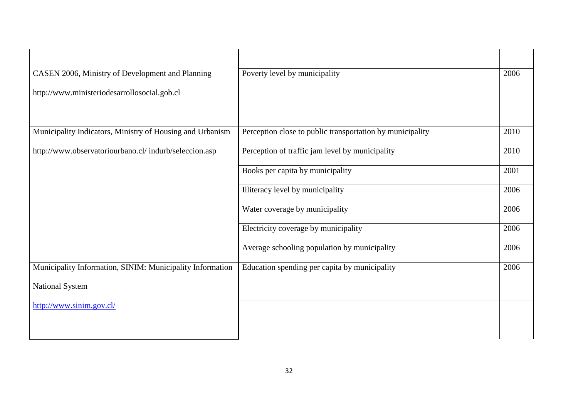| CASEN 2006, Ministry of Development and Planning<br>http://www.ministeriodesarrollosocial.gob.cl | Poverty level by municipality                             | 2006 |
|--------------------------------------------------------------------------------------------------|-----------------------------------------------------------|------|
| Municipality Indicators, Ministry of Housing and Urbanism                                        | Perception close to public transportation by municipality | 2010 |
| http://www.observatoriourbano.cl/ indurb/seleccion.asp                                           | Perception of traffic jam level by municipality           | 2010 |
|                                                                                                  | Books per capita by municipality                          | 2001 |
|                                                                                                  | Illiteracy level by municipality                          | 2006 |
|                                                                                                  | Water coverage by municipality                            | 2006 |
|                                                                                                  | Electricity coverage by municipality                      | 2006 |
|                                                                                                  | Average schooling population by municipality              | 2006 |
| Municipality Information, SINIM: Municipality Information                                        | Education spending per capita by municipality             | 2006 |
| <b>National System</b>                                                                           |                                                           |      |
| http://www.sinim.gov.cl/                                                                         |                                                           |      |
|                                                                                                  |                                                           |      |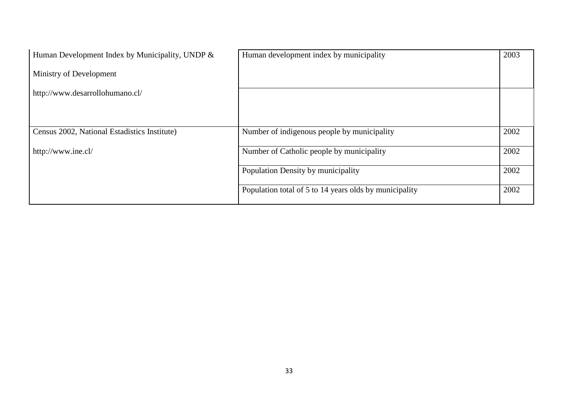| Human Development Index by Municipality, UNDP & | Human development index by municipality                | 2003 |
|-------------------------------------------------|--------------------------------------------------------|------|
| Ministry of Development                         |                                                        |      |
| http://www.desarrollohumano.cl/                 |                                                        |      |
|                                                 |                                                        |      |
|                                                 |                                                        |      |
| Census 2002, National Estadistics Institute)    | Number of indigenous people by municipality            | 2002 |
| http://www.ine.cl/                              | Number of Catholic people by municipality              | 2002 |
|                                                 | Population Density by municipality                     | 2002 |
|                                                 | Population total of 5 to 14 years olds by municipality | 2002 |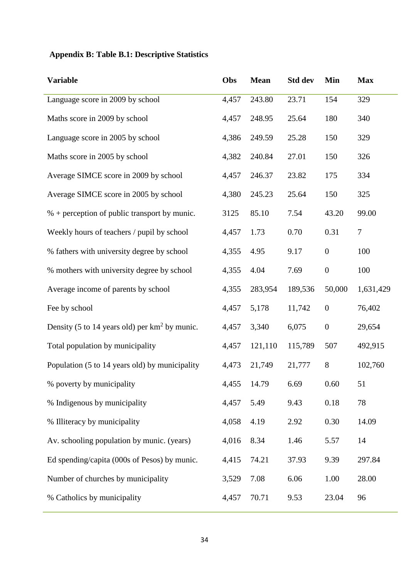|  |  |  |  | <b>Appendix B: Table B.1: Descriptive Statistics</b> |  |
|--|--|--|--|------------------------------------------------------|--|
|--|--|--|--|------------------------------------------------------|--|

| <b>Variable</b>                                  | Obs   | <b>Mean</b> | <b>Std dev</b> | Min              | <b>Max</b> |
|--------------------------------------------------|-------|-------------|----------------|------------------|------------|
| Language score in 2009 by school                 | 4,457 | 243.80      | 23.71          | 154              | 329        |
| Maths score in 2009 by school                    | 4,457 | 248.95      | 25.64          | 180              | 340        |
| Language score in 2005 by school                 | 4,386 | 249.59      | 25.28          | 150              | 329        |
| Maths score in 2005 by school                    | 4,382 | 240.84      | 27.01          | 150              | 326        |
| Average SIMCE score in 2009 by school            | 4,457 | 246.37      | 23.82          | 175              | 334        |
| Average SIMCE score in 2005 by school            | 4,380 | 245.23      | 25.64          | 150              | 325        |
| $%$ + perception of public transport by munic.   | 3125  | 85.10       | 7.54           | 43.20            | 99.00      |
| Weekly hours of teachers / pupil by school       | 4,457 | 1.73        | 0.70           | 0.31             | $\tau$     |
| % fathers with university degree by school       | 4,355 | 4.95        | 9.17           | $\boldsymbol{0}$ | 100        |
| % mothers with university degree by school       | 4,355 | 4.04        | 7.69           | $\boldsymbol{0}$ | 100        |
| Average income of parents by school              | 4,355 | 283,954     | 189,536        | 50,000           | 1,631,429  |
| Fee by school                                    | 4,457 | 5,178       | 11,742         | $\boldsymbol{0}$ | 76,402     |
| Density (5 to 14 years old) per $km^2$ by munic. | 4,457 | 3,340       | 6,075          | $\boldsymbol{0}$ | 29,654     |
| Total population by municipality                 | 4,457 | 121,110     | 115,789        | 507              | 492,915    |
| Population (5 to 14 years old) by municipality   | 4,473 | 21,749      | 21,777         | $8\,$            | 102,760    |
| % poverty by municipality                        |       | 4,455 14.79 | 6.69           | 0.60             | 51         |
| % Indigenous by municipality                     | 4,457 | 5.49        | 9.43           | 0.18             | 78         |
| % Illiteracy by municipality                     | 4,058 | 4.19        | 2.92           | 0.30             | 14.09      |
| Av. schooling population by munic. (years)       | 4,016 | 8.34        | 1.46           | 5.57             | 14         |
| Ed spending/capita (000s of Pesos) by munic.     | 4,415 | 74.21       | 37.93          | 9.39             | 297.84     |
| Number of churches by municipality               | 3,529 | 7.08        | 6.06           | 1.00             | 28.00      |
| % Catholics by municipality                      | 4,457 | 70.71       | 9.53           | 23.04            | 96         |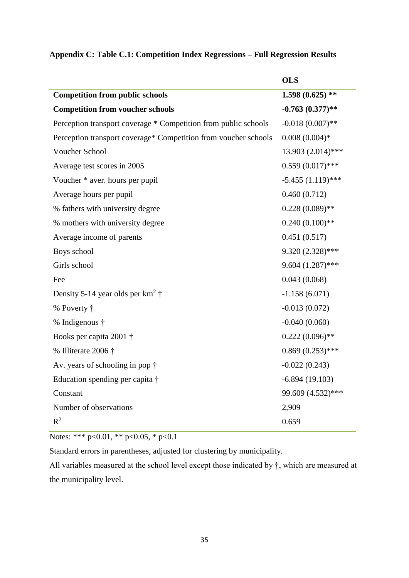|                                                                 | <b>OLS</b>          |
|-----------------------------------------------------------------|---------------------|
| <b>Competition from public schools</b>                          | $1.598(0.625)$ **   |
| <b>Competition from voucher schools</b>                         | $-0.763(0.377)$ **  |
| Perception transport coverage * Competition from public schools | $-0.018(0.007)$ **  |
| Perception transport coverage* Competition from voucher schools | $0.008(0.004)*$     |
| Voucher School                                                  | 13.903 (2.014)***   |
| Average test scores in 2005                                     | $0.559(0.017)$ ***  |
| Voucher * aver. hours per pupil                                 | $-5.455(1.119)$ *** |
| Average hours per pupil                                         | 0.460(0.712)        |
| % fathers with university degree                                | $0.228(0.089)$ **   |
| % mothers with university degree                                | $0.240(0.100)$ **   |
| Average income of parents                                       | 0.451(0.517)        |
| Boys school                                                     | $9.320(2.328)$ ***  |
| Girls school                                                    | $9.604(1.287)$ ***  |
| Fee                                                             | 0.043(0.068)        |
| Density 5-14 year olds per $km^2$ $\dagger$                     | $-1.158(6.071)$     |
| % Poverty $\dagger$                                             | $-0.013(0.072)$     |
| % Indigenous †                                                  | $-0.040(0.060)$     |
| Books per capita 2001 †                                         | $0.222(0.096)$ **   |
| % Illiterate 2006 †                                             | $0.869(0.253)$ ***  |
| Av. years of schooling in pop $\dagger$                         | $-0.022(0.243)$     |
| Education spending per capita †                                 | $-6.894(19.103)$    |
| Constant                                                        | 99.609 (4.532)***   |
| Number of observations                                          | 2,909               |
| $R^2$                                                           | 0.659               |

Notes: \*\*\* p<0.01, \*\* p<0.05, \* p<0.1

Standard errors in parentheses, adjusted for clustering by municipality.

All variables measured at the school level except those indicated by †, which are measured at the municipality level.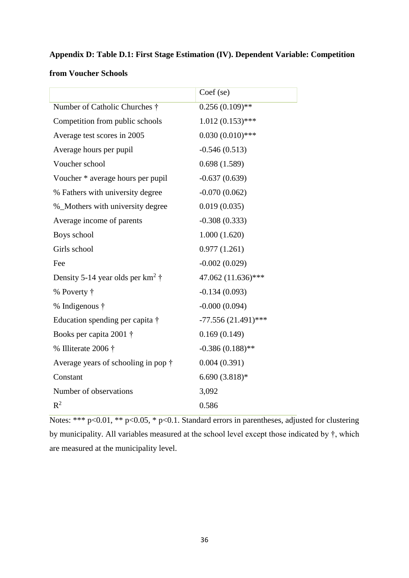## **Appendix D: Table D.1: First Stage Estimation (IV). Dependent Variable: Competition**

|                                                      | $Coef$ (se)           |
|------------------------------------------------------|-----------------------|
| Number of Catholic Churches $\dagger$                | $0.256(0.109)$ **     |
| Competition from public schools                      | $1.012(0.153)$ ***    |
| Average test scores in 2005                          | $0.030(0.010)$ ***    |
| Average hours per pupil                              | $-0.546(0.513)$       |
| Voucher school                                       | 0.698(1.589)          |
| Voucher * average hours per pupil                    | $-0.637(0.639)$       |
| % Fathers with university degree                     | $-0.070(0.062)$       |
| %_Mothers with university degree                     | 0.019(0.035)          |
| Average income of parents                            | $-0.308(0.333)$       |
| Boys school                                          | 1.000(1.620)          |
| Girls school                                         | 0.977(1.261)          |
| Fee                                                  | $-0.002(0.029)$       |
| Density 5-14 year olds per km <sup>2</sup> $\dagger$ | 47.062 (11.636)***    |
| % Poverty †                                          | $-0.134(0.093)$       |
| % Indigenous †                                       | $-0.000(0.094)$       |
| Education spending per capita †                      | $-77.556(21.491)$ *** |
| Books per capita 2001 †                              | 0.169(0.149)          |
| % Illiterate 2006 †                                  | $-0.386(0.188)$ **    |
| Average years of schooling in pop †                  | 0.004(0.391)          |
| Constant                                             | 6.690 $(3.818)*$      |
| Number of observations                               | 3,092                 |
| $R^2$                                                | 0.586                 |

## **from Voucher Schools**

Notes: \*\*\* p<0.01, \*\* p<0.05, \* p<0.1. Standard errors in parentheses, adjusted for clustering by municipality. All variables measured at the school level except those indicated by †, which are measured at the municipality level.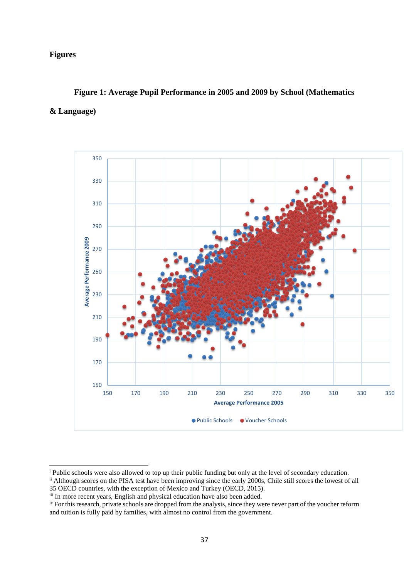#### **Figures**

## **Figure 1: Average Pupil Performance in 2005 and 2009 by School (Mathematics**

#### **& Language)**



<sup>&</sup>lt;sup>i</sup> Public schools were also allowed to top up their public funding but only at the level of secondary education.

ii Although scores on the PISA test have been improving since the early 2000s, Chile still scores the lowest of all 35 OECD countries, with the exception of Mexico and Turkey (OECD, 2015).

iii In more recent years, English and physical education have also been added.

<sup>&</sup>lt;sup>iv</sup> For this research, private schools are dropped from the analysis, since they were never part of the voucher reform and tuition is fully paid by families, with almost no control from the government.